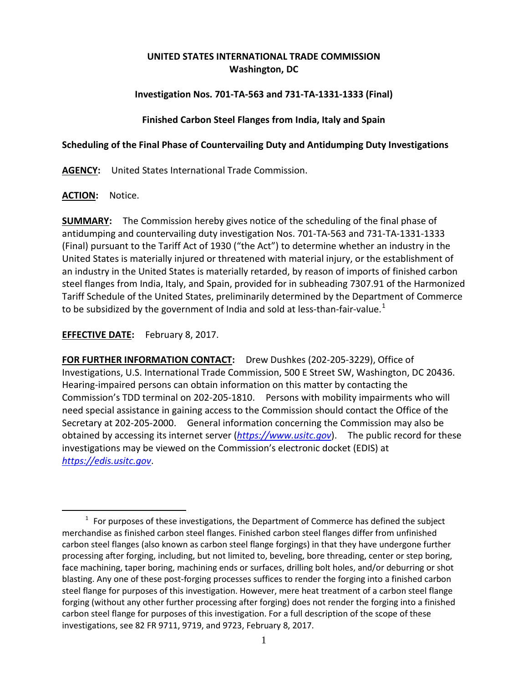# **UNITED STATES INTERNATIONAL TRADE COMMISSION Washington, DC**

# **Investigation Nos. 701-TA-563 and 731-TA-1331-1333 (Final)**

### **Finished Carbon Steel Flanges from India, Italy and Spain**

### **Scheduling of the Final Phase of Countervailing Duty and Antidumping Duty Investigations**

**AGENCY:** United States International Trade Commission.

## **ACTION:** Notice.

 $\overline{a}$ 

**SUMMARY:** The Commission hereby gives notice of the scheduling of the final phase of antidumping and countervailing duty investigation Nos. 701-TA-563 and 731-TA-1331-1333 (Final) pursuant to the Tariff Act of 1930 ("the Act") to determine whether an industry in the United States is materially injured or threatened with material injury, or the establishment of an industry in the United States is materially retarded, by reason of imports of finished carbon steel flanges from India, Italy, and Spain, provided for in subheading 7307.91 of the Harmonized Tariff Schedule of the United States, preliminarily determined by the Department of Commerce to be subsidized by the government of India and sold at less-than-fair-value.<sup>[1](#page-0-0)</sup>

**EFFECTIVE DATE:** February 8, 2017.

**FOR FURTHER INFORMATION CONTACT:** Drew Dushkes (202-205-3229), Office of Investigations, U.S. International Trade Commission, 500 E Street SW, Washington, DC 20436. Hearing-impaired persons can obtain information on this matter by contacting the Commission's TDD terminal on 202-205-1810. Persons with mobility impairments who will need special assistance in gaining access to the Commission should contact the Office of the Secretary at 202-205-2000. General information concerning the Commission may also be obtained by accessing its internet server (*[https://www.usitc.gov](https://www.usitc.gov/)*). The public record for these investigations may be viewed on the Commission's electronic docket (EDIS) at *[https://edis.usitc.gov](https://edis.usitc.gov/)*.

<span id="page-0-0"></span> $1$  For purposes of these investigations, the Department of Commerce has defined the subject merchandise as finished carbon steel flanges. Finished carbon steel flanges differ from unfinished carbon steel flanges (also known as carbon steel flange forgings) in that they have undergone further processing after forging, including, but not limited to, beveling, bore threading, center or step boring, face machining, taper boring, machining ends or surfaces, drilling bolt holes, and/or deburring or shot blasting. Any one of these post-forging processes suffices to render the forging into a finished carbon steel flange for purposes of this investigation. However, mere heat treatment of a carbon steel flange forging (without any other further processing after forging) does not render the forging into a finished carbon steel flange for purposes of this investigation. For a full description of the scope of these investigations, see 82 FR 9711, 9719, and 9723, February 8, 2017.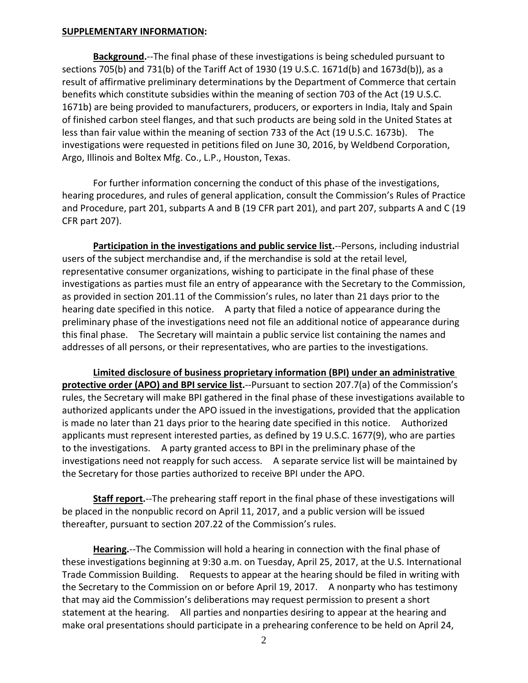#### **SUPPLEMENTARY INFORMATION:**

**Background.**--The final phase of these investigations is being scheduled pursuant to sections 705(b) and 731(b) of the Tariff Act of 1930 (19 U.S.C. 1671d(b) and 1673d(b)), as a result of affirmative preliminary determinations by the Department of Commerce that certain benefits which constitute subsidies within the meaning of section 703 of the Act (19 U.S.C. 1671b) are being provided to manufacturers, producers, or exporters in India, Italy and Spain of finished carbon steel flanges, and that such products are being sold in the United States at less than fair value within the meaning of section 733 of the Act (19 U.S.C. 1673b). The investigations were requested in petitions filed on June 30, 2016, by Weldbend Corporation, Argo, Illinois and Boltex Mfg. Co., L.P., Houston, Texas.

For further information concerning the conduct of this phase of the investigations, hearing procedures, and rules of general application, consult the Commission's Rules of Practice and Procedure, part 201, subparts A and B (19 CFR part 201), and part 207, subparts A and C (19 CFR part 207).

**Participation in the investigations and public service list.**--Persons, including industrial users of the subject merchandise and, if the merchandise is sold at the retail level, representative consumer organizations, wishing to participate in the final phase of these investigations as parties must file an entry of appearance with the Secretary to the Commission, as provided in section 201.11 of the Commission's rules, no later than 21 days prior to the hearing date specified in this notice. A party that filed a notice of appearance during the preliminary phase of the investigations need not file an additional notice of appearance during this final phase. The Secretary will maintain a public service list containing the names and addresses of all persons, or their representatives, who are parties to the investigations.

**Limited disclosure of business proprietary information (BPI) under an administrative protective order (APO) and BPI service list.**--Pursuant to section 207.7(a) of the Commission's rules, the Secretary will make BPI gathered in the final phase of these investigations available to authorized applicants under the APO issued in the investigations, provided that the application is made no later than 21 days prior to the hearing date specified in this notice. Authorized applicants must represent interested parties, as defined by 19 U.S.C. 1677(9), who are parties to the investigations. A party granted access to BPI in the preliminary phase of the investigations need not reapply for such access. A separate service list will be maintained by the Secretary for those parties authorized to receive BPI under the APO.

**Staff report.**--The prehearing staff report in the final phase of these investigations will be placed in the nonpublic record on April 11, 2017, and a public version will be issued thereafter, pursuant to section 207.22 of the Commission's rules.

**Hearing.**--The Commission will hold a hearing in connection with the final phase of these investigations beginning at 9:30 a.m. on Tuesday, April 25, 2017, at the U.S. International Trade Commission Building. Requests to appear at the hearing should be filed in writing with the Secretary to the Commission on or before April 19, 2017. A nonparty who has testimony that may aid the Commission's deliberations may request permission to present a short statement at the hearing. All parties and nonparties desiring to appear at the hearing and make oral presentations should participate in a prehearing conference to be held on April 24,